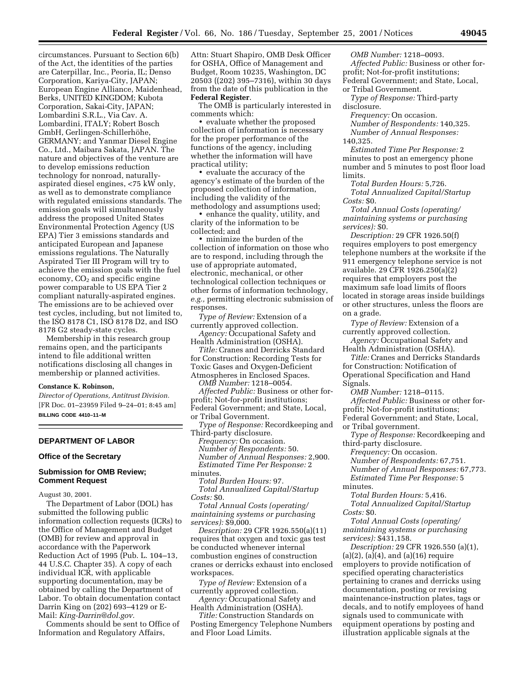circumstances. Pursuant to Section 6(b) of the Act, the identities of the parties are Caterpillar, Inc., Peoria, IL; Denso Corporation, Kariya-City, JAPAN; European Engine Alliance, Maidenhead, Berks, UNITED KINGDOM; Kubota Corporation, Sakai-City, JAPAN; Lombardini S.R.L., Via Cav. A. Lombardini, ITALY; Robert Bosch GmbH, Gerlingen-Schillerhöhe, GERMANY; and Yanmar Diesel Engine Co., Ltd., Maibara Sakata, JAPAN. The nature and objectives of the venture are to develop emissions reduction technology for nonroad, naturallyaspirated diesel engines, <75 kW only, as well as to demonstrate compliance with regulated emissions standards. The emission goals will simultaneously address the proposed United States Environmental Protection Agency (US EPA) Tier 3 emissions standards and anticipated European and Japanese emissions regulations. The Naturally Aspirated Tier III Program will try to achieve the emission goals with the fuel economy,  $CO<sub>2</sub>$  and specific engine power comparable to US EPA Tier 2 compliant naturally-aspirated engines. The emissions are to be achieved over test cycles, including, but not limited to, the ISO 8178 C1, ISO 8178 D2, and ISO 8178 G2 steady-state cycles.

Membership in this research group remains open, and the participants intend to file additional written notifications disclosing all changes in membership or planned activities.

### **Constance K. Robinson,**

*Director of Operations, Antitrust Division.* [FR Doc. 01–23959 Filed 9–24–01; 8:45 am] **BILLING CODE 4410–11–M**

## **DEPARTMENT OF LABOR**

#### **Office of the Secretary**

### **Submission for OMB Review; Comment Request**

August 30, 2001.

The Department of Labor (DOL) has submitted the following public information collection requests (ICRs) to the Office of Management and Budget (OMB) for review and approval in accordance with the Paperwork Reduction Act of 1995 (Pub. L. 104–13, 44 U.S.C. Chapter 35). A copy of each individual ICR, with applicable supporting documentation, may be obtained by calling the Department of Labor. To obtain documentation contact Darrin King on (202) 693–4129 or E-Mail: *King-Darrin@dol.gov.*

Comments should be sent to Office of Information and Regulatory Affairs,

Attn: Stuart Shapiro, OMB Desk Officer for OSHA, Office of Management and Budget, Room 10235, Washington, DC 20503 ((202) 395–7316), within 30 days from the date of this publication in the **Federal Register**.

The OMB is particularly interested in comments which:

• evaluate whether the proposed collection of information is necessary for the proper performance of the functions of the agency, including whether the information will have practical utility;

• evaluate the accuracy of the agency's estimate of the burden of the proposed collection of information, including the validity of the methodology and assumptions used;

• enhance the quality, utility, and clarity of the information to be collected; and

• minimize the burden of the collection of information on those who are to respond, including through the use of appropriate automated, electronic, mechanical, or other technological collection techniques or other forms of information technology, *e.g.,* permitting electronic submission of responses.

*Type of Review:* Extension of a currently approved collection.

*Agency:* Occupational Safety and Health Administration (OSHA).

*Title:* Cranes and Derricks Standard for Construction: Recording Tests for Toxic Gases and Oxygen-Deficient Atmospheres in Enclosed Spaces.

*OMB Number:* 1218–0054.

*Affected Public:* Business or other forprofit; Not-for-profit institutions; Federal Government; and State, Local, or Tribal Government.

*Type of Response:* Recordkeeping and Third-party disclosure.

*Frequency:* On occasion. *Number of Respondents:* 50. *Number of Annual Responses:* 2,900. *Estimated Time Per Response:* 2 minutes.

*Total Burden Hours:* 97.

*Total Annualized Capital/Startup Costs:* \$0.

*Total Annual Costs (operating/ maintaining systems or purchasing services):* \$9,000.

*Description:* 29 CFR 1926.550(a)(11) requires that oxygen and toxic gas test be conducted whenever internal combustion engines of construction cranes or derricks exhaust into enclosed workspaces.

*Type of Review:* Extension of a currently approved collection.

*Agency:* Occupational Safety and Health Administration (OSHA).

*Title:* Construction Standards on Posting Emergency Telephone Numbers and Floor Load Limits.

*OMB Number:* 1218–0093. *Affected Public:* Business or other forprofit; Not-for-profit institutions; Federal Government; and State, Local, or Tribal Government.

*Type of Response:* Third-party disclosure.

*Frequency:* On occasion.

*Number of Respondents:* 140,325. *Number of Annual Responses:*

140,325.

*Estimated Time Per Response:* 2 minutes to post an emergency phone number and 5 minutes to post floor load limits.

*Total Burden Hours:* 5,726. *Total Annualized Capital/Startup Costs:* \$0.

*Total Annual Costs (operating/ maintaining systems or purchasing services):* \$0.

*Description:* 29 CFR 1926.50(f) requires employers to post emergency telephone numbers at the worksite if the 911 emergency telephone service is not available. 29 CFR 1926.250(a)(2) requires that employers post the maximum safe load limits of floors located in storage areas inside buildings or other structures, unless the floors are on a grade.

*Type of Review:* Extension of a currently approved collection. *Agency:* Occupational Safety and

Health Administration (OSHA).

*Title:* Cranes and Derricks Standards for Construction: Notification of Operational Specification and Hand Signals.

*OMB Number:* 1218–0115. *Affected Public:* Business or other forprofit; Not-for-profit institutions;

Federal Government; and State, Local, or Tribal government.

*Type of Response:* Recordkeeping and third-party disclosure.

*Frequency:* On occasion. *Number of Respondents:* 67,751. *Number of Annual Responses:* 67,773. *Estimated Time Per Response:* 5

minutes.

*Total Burden Hours:* 5,416. *Total Annualized Capital/Startup Costs:* \$0.

*Total Annual Costs (operating/ maintaining systems or purchasing services):* \$431,158.

*Description:* 29 CFR 1926.550 (a)(1),  $(a)(2)$ ,  $(a)(4)$ , and  $(a)(16)$  require employers to provide notification of specified operating characteristics pertaining to cranes and derricks using documentation, posting or revising maintenance-instruction plates, tags or decals, and to notify employees of hand signals used to communicate with equipment operations by posting and illustration applicable signals at the